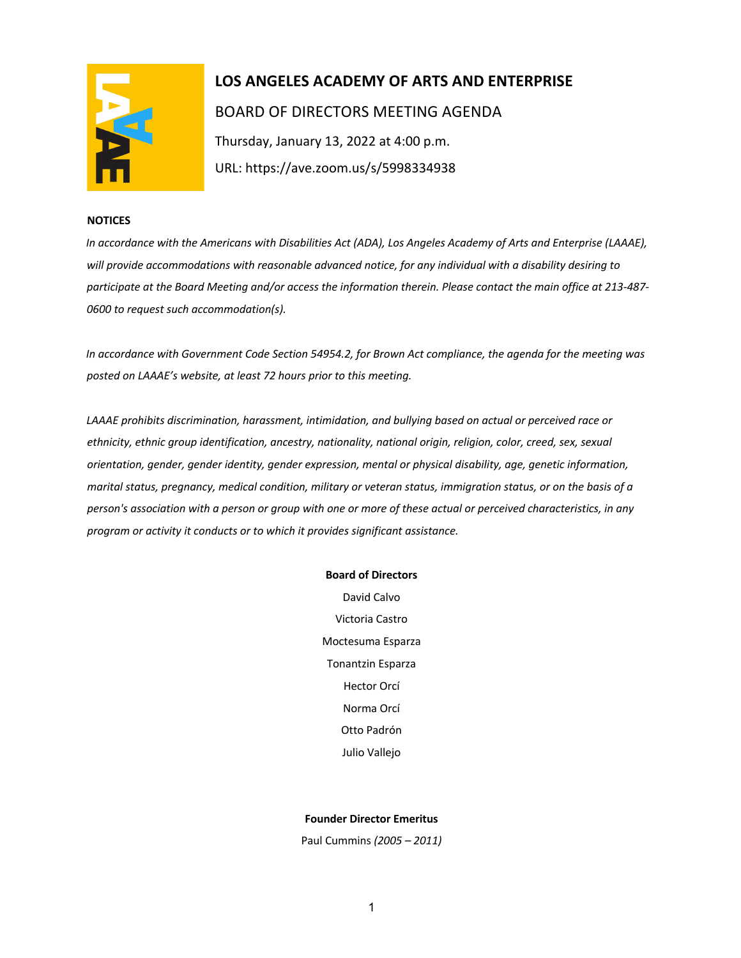

# **LOS ANGELES ACADEMY OF ARTS AND ENTERPRISE**  BOARD OF DIRECTORS MEETING AGENDA Thursday, January 13, 2022 at 4:00 p.m. URL: https://ave.zoom.us/s/5998334938

### **NOTICES**

*In accordance with the Americans with Disabilities Act (ADA), Los Angeles Academy of Arts and Enterprise (LAAAE), will provide accommodations with reasonable advanced notice, for any individual with a disability desiring to participate at the Board Meeting and/or access the information therein. Please contact the main office at 213-487- 0600 to request such accommodation(s).* 

*In accordance with Government Code Section 54954.2, for Brown Act compliance, the agenda for the meeting was posted on LAAAE's website, at least 72 hours prior to this meeting.* 

*LAAAE prohibits discrimination, harassment, intimidation, and bullying based on actual or perceived race or ethnicity, ethnic group identification, ancestry, nationality, national origin, religion, color, creed, sex, sexual orientation, gender, gender identity, gender expression, mental or physical disability, age, genetic information, marital status, pregnancy, medical condition, military or veteran status, immigration status, or on the basis of a person's association with a person or group with one or more of these actual or perceived characteristics, in any program or activity it conducts or to which it provides significant assistance.* 

#### **Board of Directors**

David Calvo Victoria Castro Moctesuma Esparza Tonantzin Esparza Hector Orcí Norma Orcí Otto Padrón Julio Vallejo

## **Founder Director Emeritus**

Paul Cummins *(2005 – 2011)*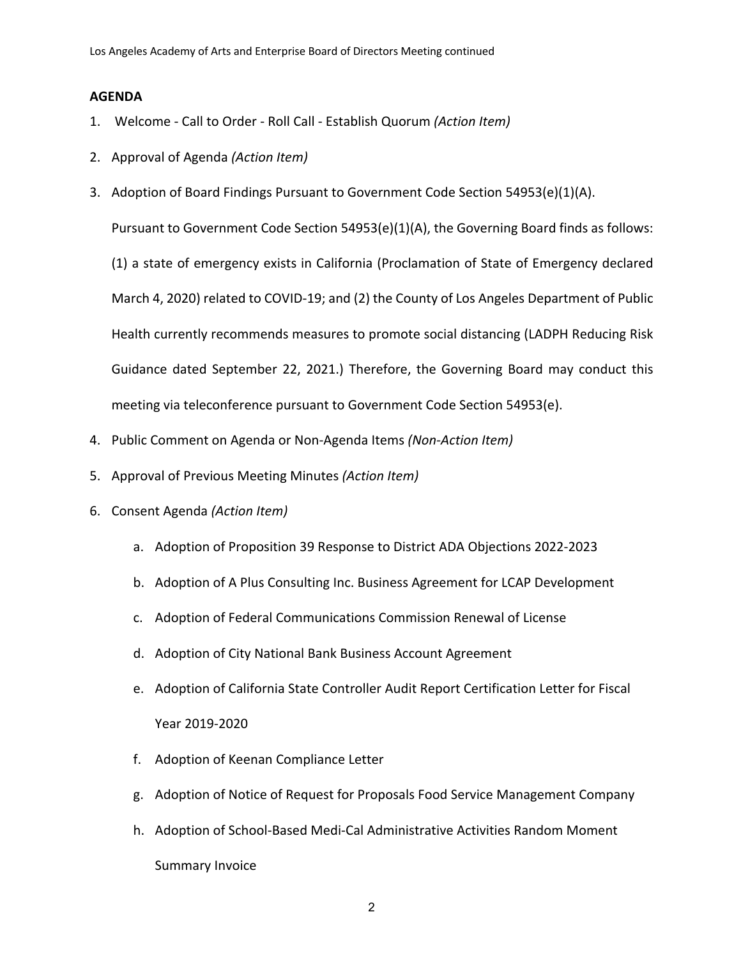# **AGENDA**

- 1. Welcome Call to Order Roll Call Establish Quorum *(Action Item)*
- 2. Approval of Agenda *(Action Item)*
- 3. Adoption of Board Findings Pursuant to Government Code Section 54953(e)(1)(A).

Pursuant to Government Code Section 54953(e)(1)(A), the Governing Board finds as follows:

(1) a state of emergency exists in California (Proclamation of State of Emergency declared March 4, 2020) related to COVID-19; and (2) the County of Los Angeles Department of Public Health currently recommends measures to promote social distancing (LADPH Reducing Risk Guidance dated September 22, 2021.) Therefore, the Governing Board may conduct this meeting via teleconference pursuant to Government Code Section 54953(e).

- 4. Public Comment on Agenda or Non-Agenda Items *(Non-Action Item)*
- 5. Approval of Previous Meeting Minutes *(Action Item)*
- 6. Consent Agenda *(Action Item)*
	- a. Adoption of Proposition 39 Response to District ADA Objections 2022-2023
	- b. Adoption of A Plus Consulting Inc. Business Agreement for LCAP Development
	- c. Adoption of Federal Communications Commission Renewal of License
	- d. Adoption of City National Bank Business Account Agreement
	- e. Adoption of California State Controller Audit Report Certification Letter for Fiscal Year 2019-2020
	- f. Adoption of Keenan Compliance Letter
	- g. Adoption of Notice of Request for Proposals Food Service Management Company
	- h. Adoption of School-Based Medi-Cal Administrative Activities Random Moment Summary Invoice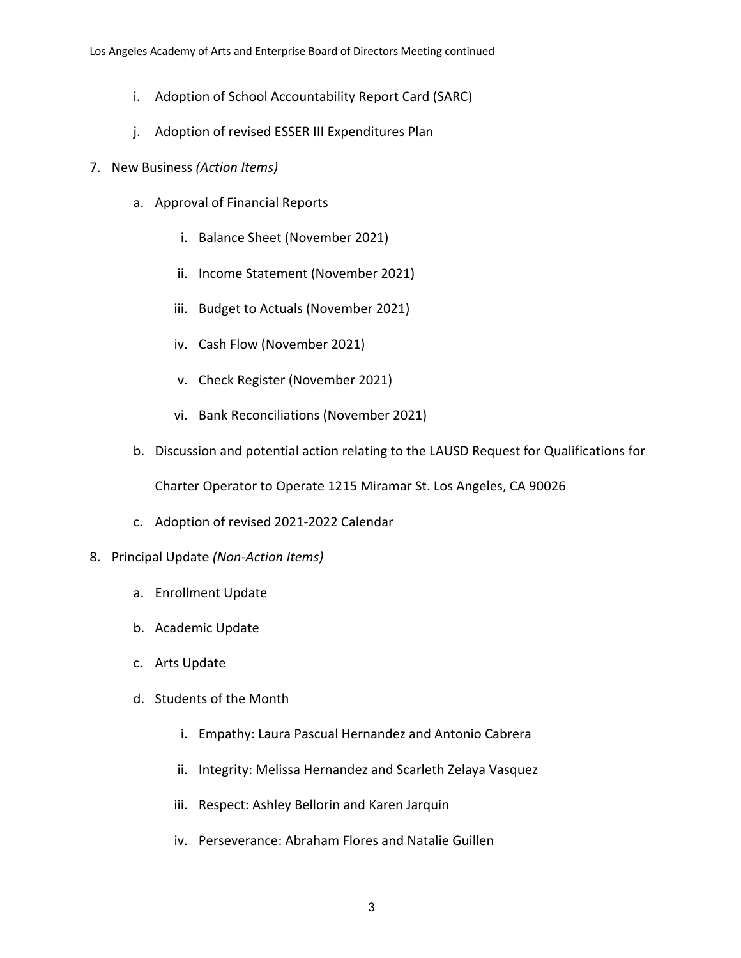- i. Adoption of School Accountability Report Card (SARC)
- j. Adoption of revised ESSER III Expenditures Plan
- 7. New Business *(Action Items)*
	- a. Approval of Financial Reports
		- i. Balance Sheet (November 2021)
		- ii. Income Statement (November 2021)
		- iii. Budget to Actuals (November 2021)
		- iv. Cash Flow (November 2021)
		- v. Check Register (November 2021)
		- vi. Bank Reconciliations (November 2021)
	- b. Discussion and potential action relating to the LAUSD Request for Qualifications for

Charter Operator to Operate 1215 Miramar St. Los Angeles, CA 90026

c. Adoption of revised 2021-2022 Calendar

# 8. Principal Update *(Non-Action Items)*

- a. Enrollment Update
- b. Academic Update
- c. Arts Update
- d. Students of the Month
	- i. Empathy: Laura Pascual Hernandez and Antonio Cabrera
	- ii. Integrity: Melissa Hernandez and Scarleth Zelaya Vasquez
	- iii. Respect: Ashley Bellorin and Karen Jarquin
	- iv. Perseverance: Abraham Flores and Natalie Guillen